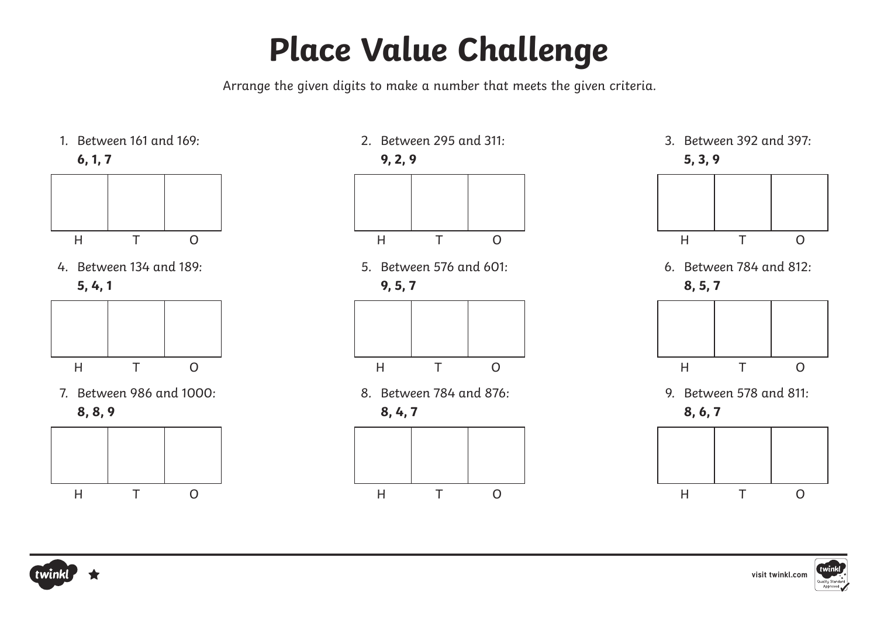## **Place Value Challenge**

Arrange the given digits to make a number that meets the given criteria.





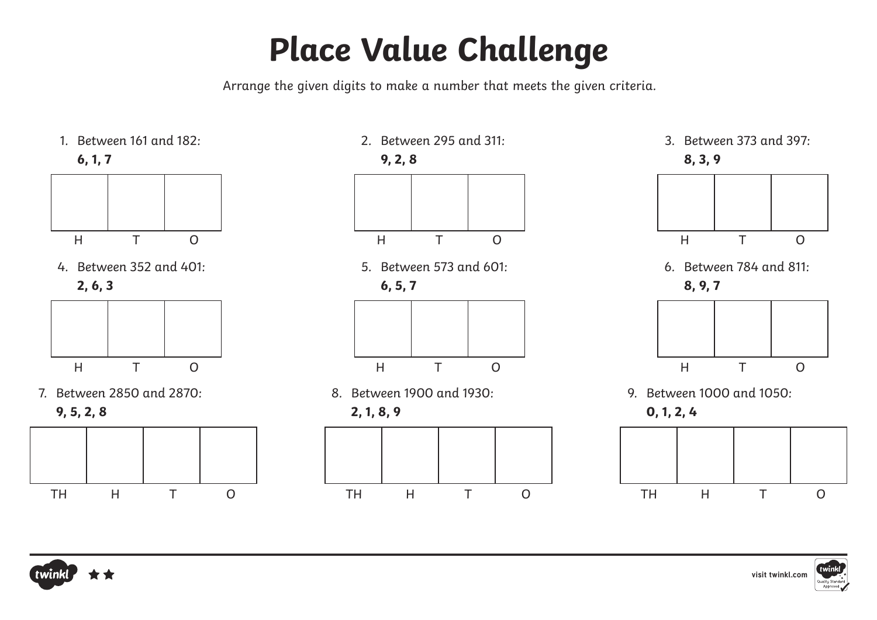## **Place Value Challenge**

Arrange the given digits to make a number that meets the given criteria.





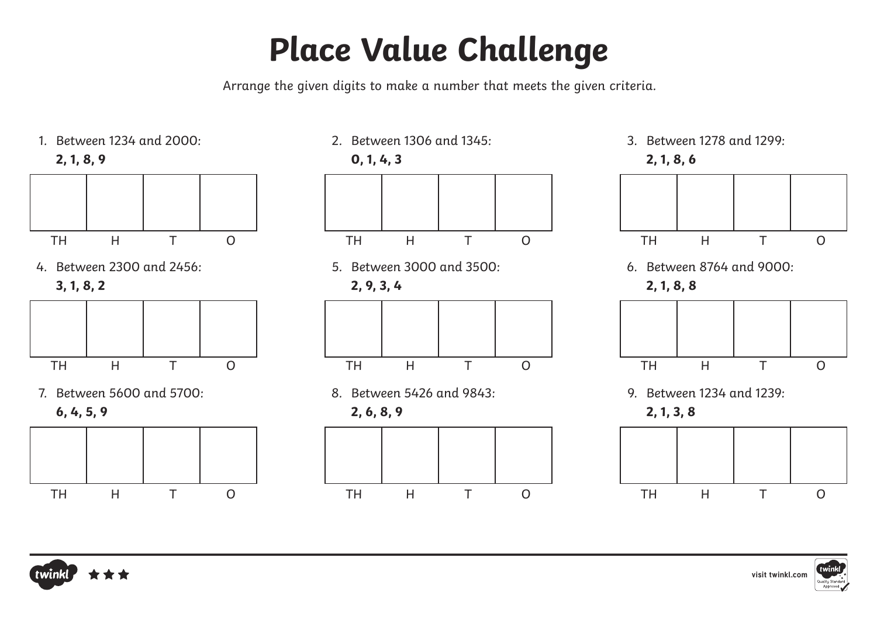## **Place Value Challenge**

Arrange the given digits to make a number that meets the given criteria.